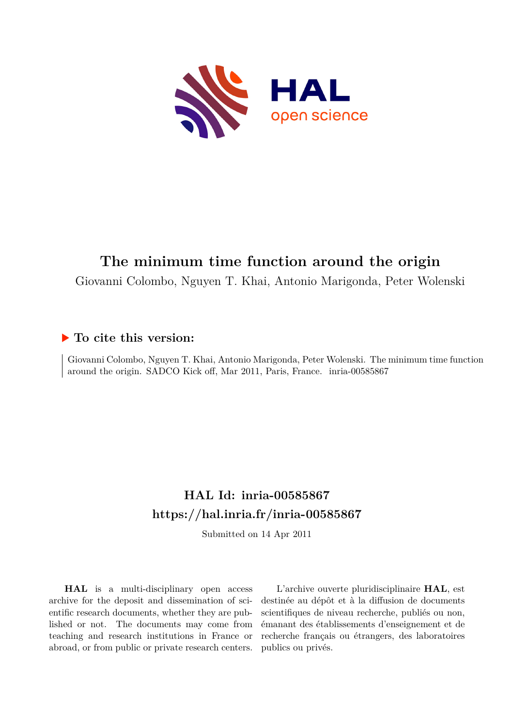

#### **The minimum time function around the origin**

Giovanni Colombo, Nguyen T. Khai, Antonio Marigonda, Peter Wolenski

#### **To cite this version:**

Giovanni Colombo, Nguyen T. Khai, Antonio Marigonda, Peter Wolenski. The minimum time function around the origin. SADCO Kick off, Mar 2011, Paris, France. inria-00585867

#### **HAL Id: inria-00585867 <https://hal.inria.fr/inria-00585867>**

Submitted on 14 Apr 2011

**HAL** is a multi-disciplinary open access archive for the deposit and dissemination of scientific research documents, whether they are published or not. The documents may come from teaching and research institutions in France or abroad, or from public or private research centers.

L'archive ouverte pluridisciplinaire **HAL**, est destinée au dépôt et à la diffusion de documents scientifiques de niveau recherche, publiés ou non, émanant des établissements d'enseignement et de recherche français ou étrangers, des laboratoires publics ou privés.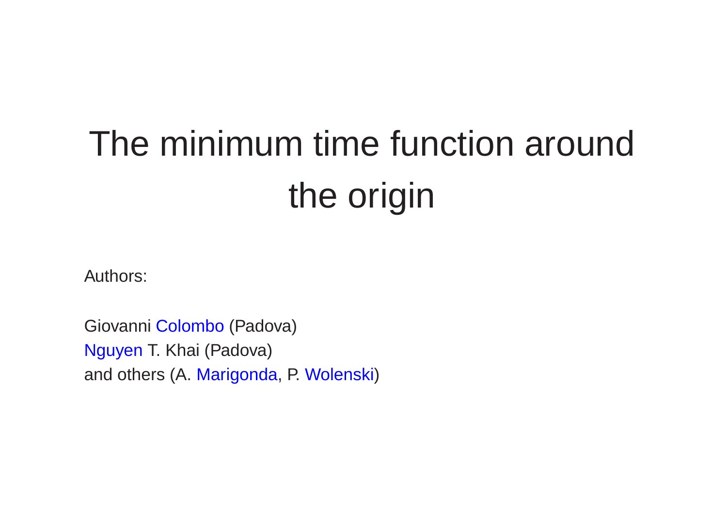# The minimum time function aroundthe origin

Authors:

Giovanni <mark>Colombo</mark> (Padova) Nguyen T. Khai (Padova) and others (A. Marigonda, P. Wolenski)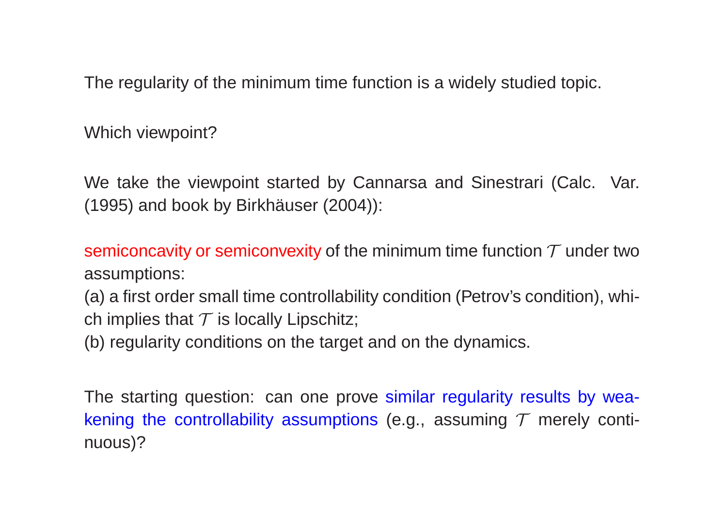The regularity of the minimum time function is <sup>a</sup> widely studied topic.

Which viewpoint?

We take the viewpoint started by Cannarsa and Sinestrari (Calc. Var. (1995) and book by Birkhäuser (2004)):

semiconcavity or semiconvexity of the minimum time function  $\mathcal T$  under two assumptions:

(a) <sup>a</sup> first order small time controllability condition (Petrov's condition), which implies that  ${\cal T}$  is locally Lipschitz;

(b) regularity conditions on the target and on the dynamics.

The starting question: can one prove similar regularity results by weakening the controllability assumptions (e.g., assuming  $\mathcal T$  merely continuous)?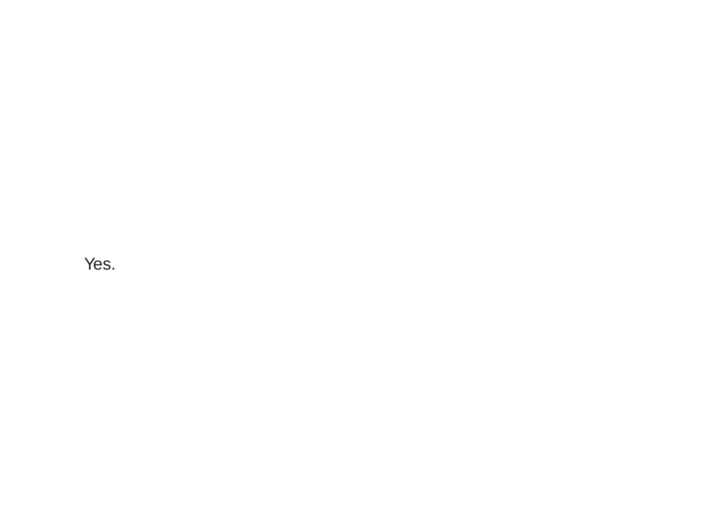Yes.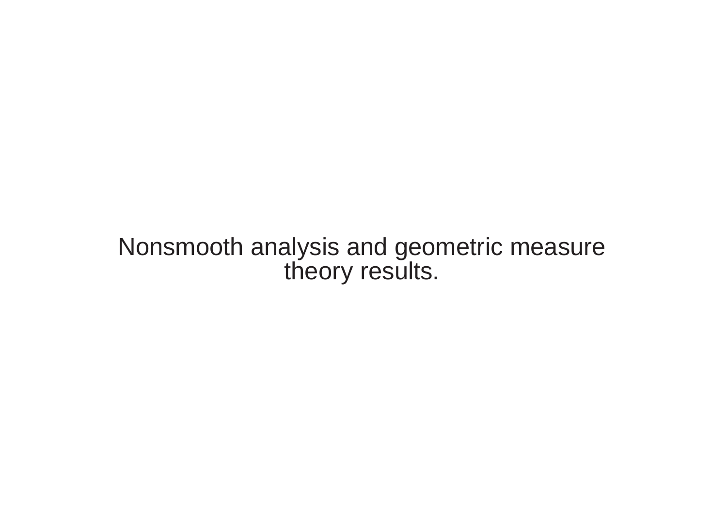## Nonsmooth analysis and geometric measuretheory results.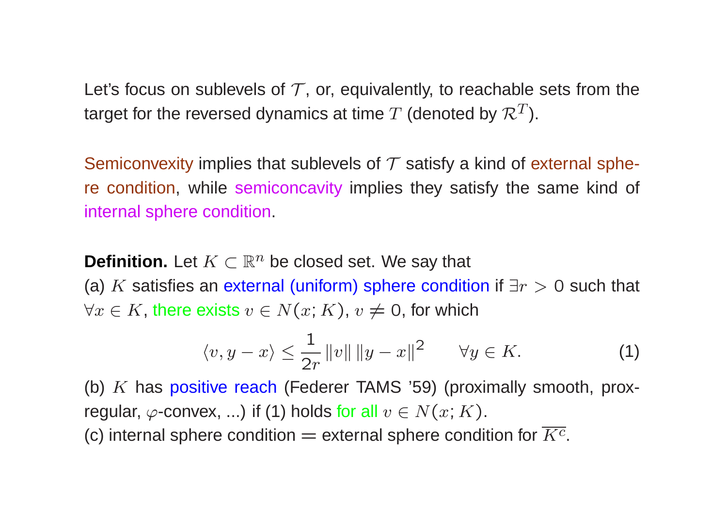Let's focus on sublevels of  $\mathcal T$ , or, equivalently, to reachable sets from the target for the reversed dynamics at time  $T$  (denoted by  $\mathcal{R}^T$ ).

Semiconvexity implies that sublevels of  $\mathcal T$  satisfy a kind of external sphere condition, while semiconcavity implies they satisfy the same kind of internal sphere condition.

**Definition.** Let  $K \subset \mathbb{R}^n$  be closed set. We say that  $\left(\cdot\right)^k$  is a set of the set of the set of the set of the set of the set of the set of the set of the set of the set of the set of the set of the set of the se (a)  $K$  satisfies an external (uniform) sphere condition if  $\exists r>0$  such that  $\forall x \in K$ , there exists  $v \in N(x;K)$ ,  $v \neq 0$ , for which

$$
\langle v, y - x \rangle \le \frac{1}{2r} ||v|| ||y - x||^2 \qquad \forall y \in K. \tag{1}
$$

(b)  $K$  has positive reach (Federer TAMS '59) (proximally smooth, proxregular,  $\varphi$ -convex, ...) if (1) holds for all  $v\in N(x;K).$ (c) internal sphere condition  $=$  external sphere condition for  $K^c$ .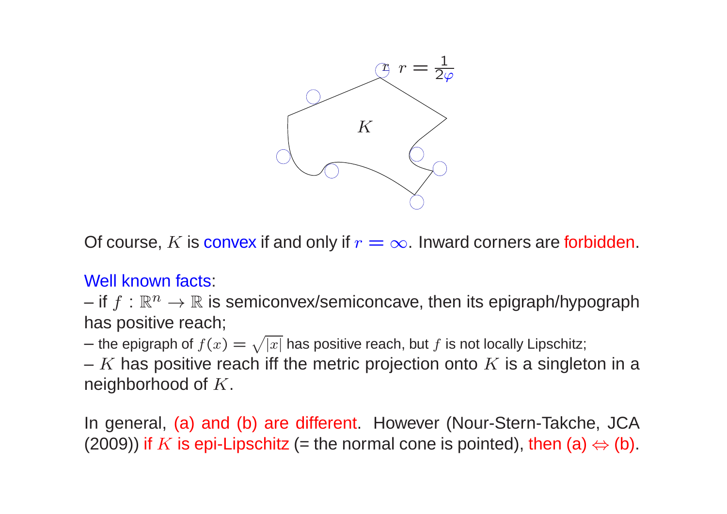

Of course,  $K$  is convex if and only if  $r = \infty$ . Inward corners are forbidden.

#### Well known facts:

and the contract of if  $f : \mathbb{R}^n \to \mathbb{R}$  is semiconvex/semiconcave, then its epigraph/hypograph<br>as positive reach: has positive reach;

– the epigraph of  $f(x) = \sqrt{|x|}$  has positive reach, but f is not locally Lipschitz;<br>
W has positive reach iff the metric projection ante M is a singlet

–  $K$  has positive reach iff the metric projection onto  $K$  is a singleton in a noighborhood of  $K$ neighborhood of  $K$ .

In general, (a) and (b) are different. However (Nour-Stern-Takche, JCA(2009)) if  $K$  is epi-Lipschitz (= the normal cone is pointed), then (a)  $\Leftrightarrow$  (b).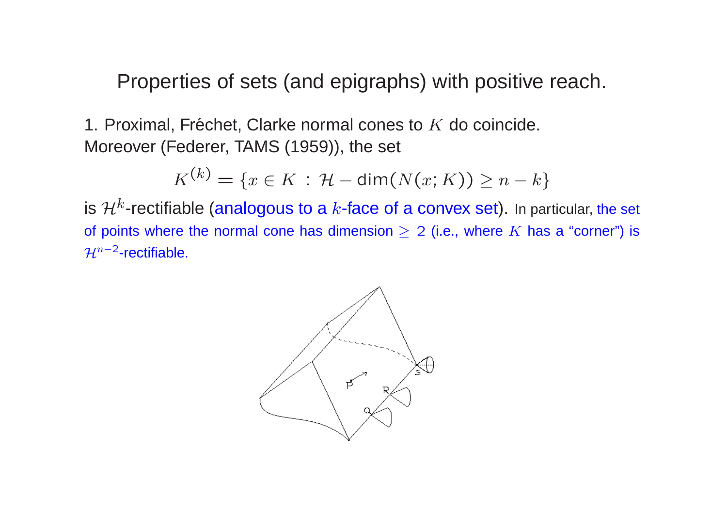Properties of sets (and epigraphs) with positive reach.

1. Proximal, Fréchet, Clarke normal cones to  $K$  do coincide.<br>Mareover (Eoderer, TAMS (1050)), the eet Moreover (Federer, TAMS (1959)), the set

$$
K^{(k)} = \{x \in K \,:\, \mathcal{H} - \dim(N(x;K)) \geq n - k\}
$$

 $K^{(k)} = \{x \in K \, : \, \mathcal{H} - \mathsf{dim}(N(x;K)) \geq n-k\}$ is  $\mathcal{H}^k$ -rectifiable (analogous to a  $k$ -face of a convex set). In particular, the set of points where the normal cone has dimension  $\geq 2$  (i.e., where  $K$  has a "corner") is  $\mathcal{H}^{n-2}$ -rectifiable.

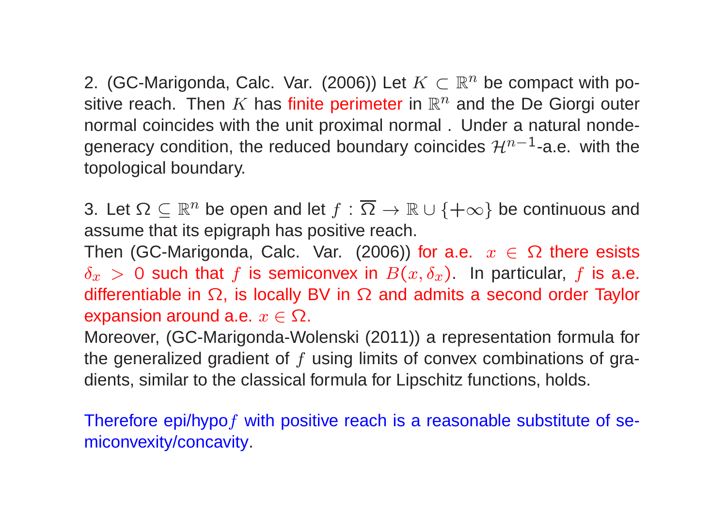2. (GC-Marigonda, Calc. Var. (2006)) Let  $K\subset \mathbb{R}^n$  be compact with positive reach. Then  $K$  has finite perimeter in  $\mathbb{R}^n$  and the De Giorgi outer<br>permal coincides with the unit provimal permal. Under a patural pende normal coincides with the unit proximal normal . Under <sup>a</sup> natural nondegeneracy condition, the reduced boundary coincides  $\mathcal{H}^{n-1}$ -a.e. with the topological boundary.

3. Let  $\Omega \subseteq \mathbb{R}^n$  be open and let  $f : \Omega \to \mathbb{R} \cup \{+\infty\}$  be continuous and<br>continuous that its anigraph has positive reach e that its enigraph has positive re assume that its epigraph has positive reach.

Then (GC-Marigonda, Calc. Var. (2006)) for a.e.  $x \in \Omega$  there esists  $\delta \to 0$  cuch that f is somiconuox in  $P(x, \delta)$ . In particular, f is a o  $\delta_x > 0$  such that f is semiconvex in  $B(x, \delta_x)$ . In particular, f is a.e. differentiable in Ω, is locally BV in Ω and admits a second order Taylor<br>expansion around a.e.  $\pi \subseteq \Omega$ expansion around a.e.  $x\in\Omega.$ 

 Moreover, (GC-Marigonda-Wolenski (2011)) <sup>a</sup> representation formula forthe generalized gradient of  $f$  using limits of convex combinations of gradients, similar to the classical formula for Lipschitz functions, holds.

Therefore epi/hypo $f$  with positive reach is a reasonable substitute of semiconvexity/concavity.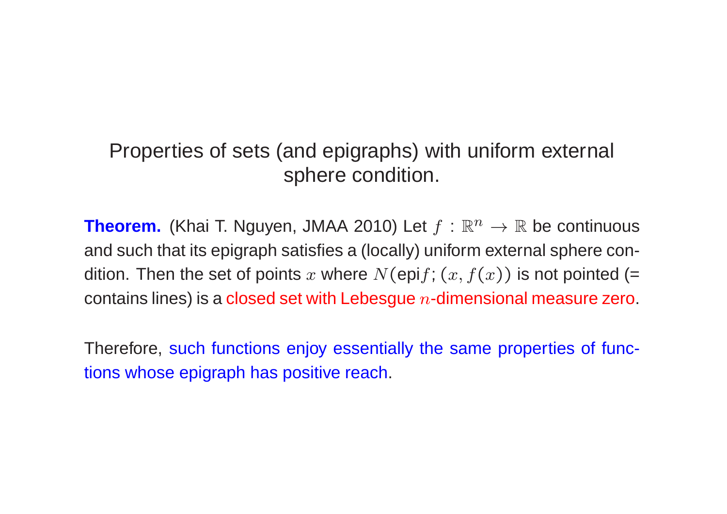## Properties of sets (and epigraphs) with uniform external sphere condition.

**Theorem.** (Khai T. Nguyen, JMAA 2010) Let  $f : \mathbb{R}^n \to \mathbb{R}$  be continuous and such that its epigraph satisfies <sup>a</sup> (locally) uniform external sphere condition. Then the set of points  $x$  where  $N(\operatorname{\mathsf{epi}} f; (x, f(x))$  is not pointed (= contains lines) is a <mark>closed set with Lebesgue  $n$ -dimensional measure zero</mark>.

Therefore, such functions enjoy essentially the same properties of functions whose epigraph has positive reach.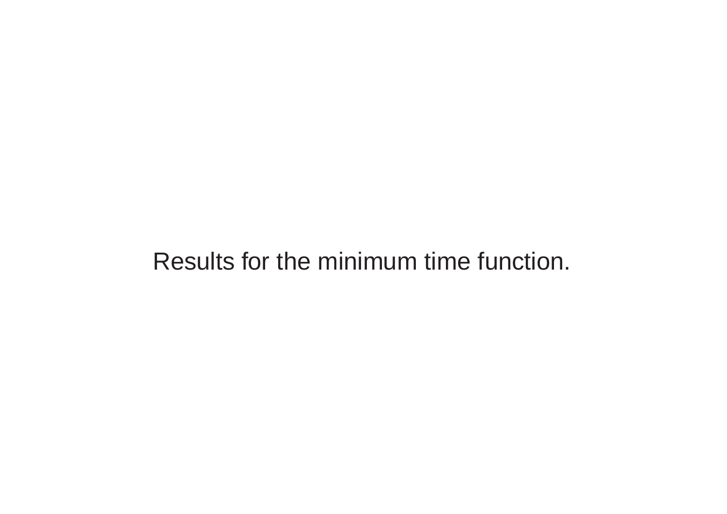# Results for the minimum time function.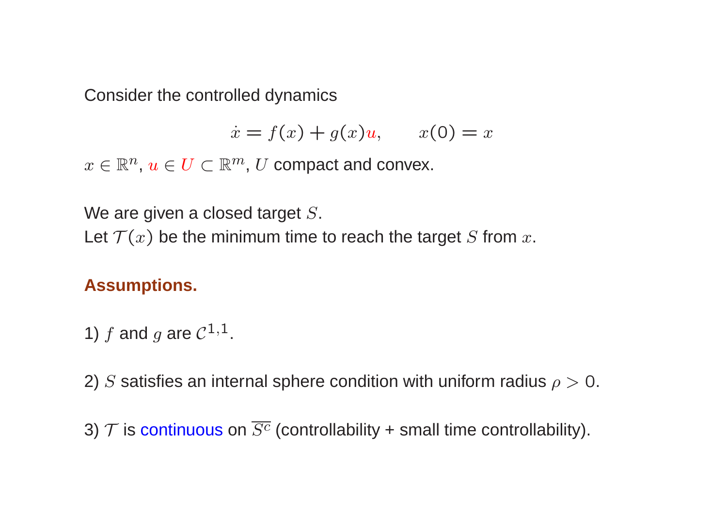Consider the controlled dynamics

$$
\dot{x} = f(x) + g(x)u, \qquad x(0) = x
$$

 $x\in\mathbb{R}^n$ ,  $u\in U\subset\mathbb{R}^m$ ,  $U$  compact and convex.

We are given a closed target  $S.$ 

Let  $\mathcal{T}(x)$  be the minimum time to reach the target  $S$  from  $x.$ 

#### **Assumptions.**

1) 
$$
f
$$
 and  $g$  are  $\mathcal{C}^{1,1}$ .

2)  $S$  satisfies an internal sphere condition with uniform radius  $\rho >0.$ 

3)  $\mathcal T$  is continuous on  $S^c$  (controllability + small time controllability).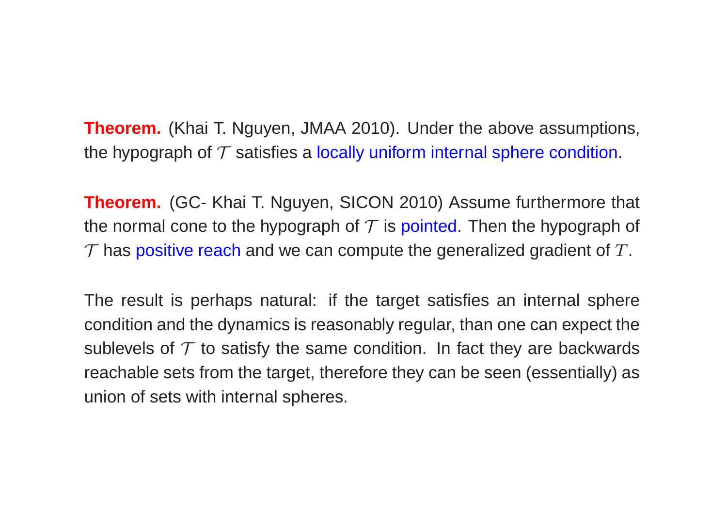**Theorem.** (Khai T. Nguyen, JMAA 2010). Under the above assumptions, the hypograph of  ${\cal T}$  satisfies a <mark>locally uniform internal sphere condition</mark>.

**Theorem.** (GC- Khai T. Nguyen, SICON 2010) Assume furthermore that the normal cone to the hypograph of  $\mathcal T$  is <mark>pointed. T</mark>hen the hypograph of  $\mathcal T$  has positive reach and we can compute the generalized gradient of  $T.$ 

The result is perhaps natural: if the target satisfies an internal spherecondition and the dynamics is reasonably regular, than one can expect thesublevels of  $\mathcal T$  to satisfy the same condition. In fact they are backwards reachable sets from the target, therefore they can be seen (essentially) asunion of sets with internal spheres.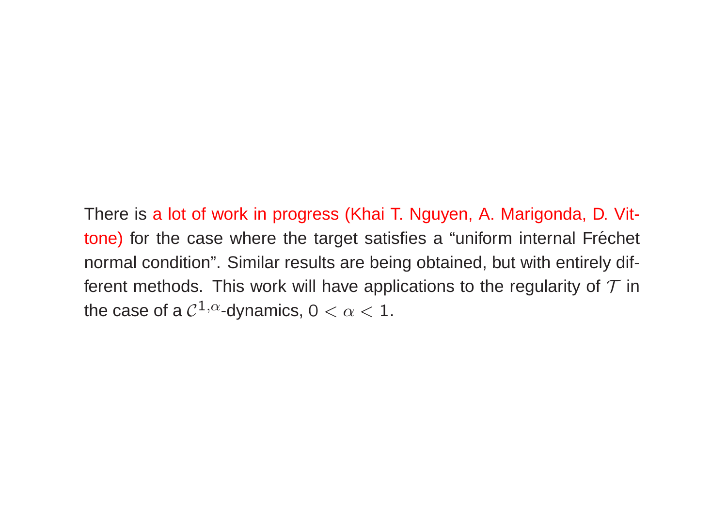There is <sup>a</sup> lot of work in progress (Khai T. Nguyen, A. Marigonda, D. Vit tone) for the case where the target satisfies a "uniform internal Fréchet normal condition". Similar results are being obtained, but with entirely different methods. This work will have applications to the regularity of  ${\cal T}$  in the case of a  $\mathcal{C}^{1,\alpha}$ -dynamics,  $0 < \alpha < 1.$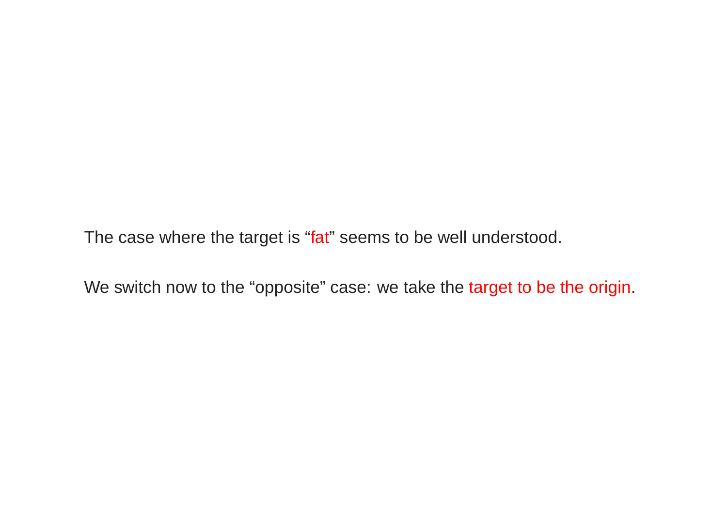The case where the target is "fat" seems to be well understood.

We switch now to the "opposite" case: we take the <mark>target to be the origin</mark>.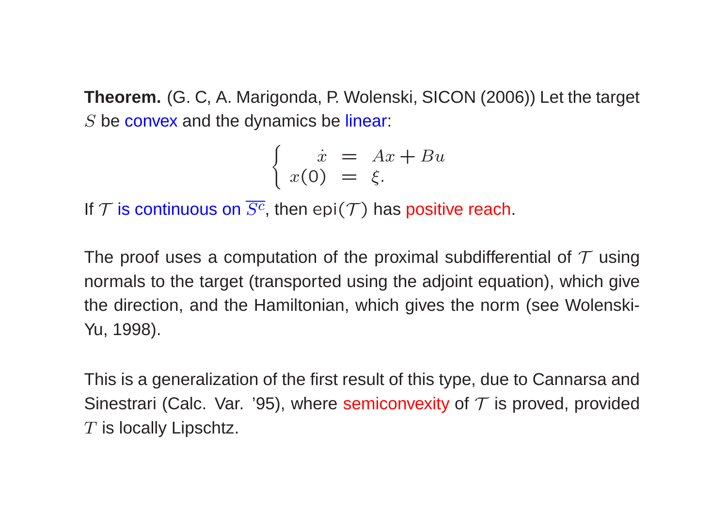**Theorem.** (G. C, A. Marigonda, P. Wolenski, SICON (2006)) Let the target  $S$  be convex and the dynamics be linear:

$$
\begin{cases}\n\dot{x} = Ax + Bu \\
x(0) = \xi.\n\end{cases}
$$

If  $\mathcal T$  is continuous on  $S^c$ , then  $\mathsf{epi}(\mathcal T)$  has positive reach.

The proof uses a computation of the proximal subdifferential of  $\mathcal T$  using normals to the target (transported using the adjoint equation), which givethe direction, and the Hamiltonian, which gives the norm (see Wolenski-Yu, 1998).

This is <sup>a</sup> generalization of the first result of this type, due to Cannarsa andSinestrari (Calc. Var. '95), where semiconvexity of  $\mathcal T$  is proved, provided  $T$  is locally Lipschtz.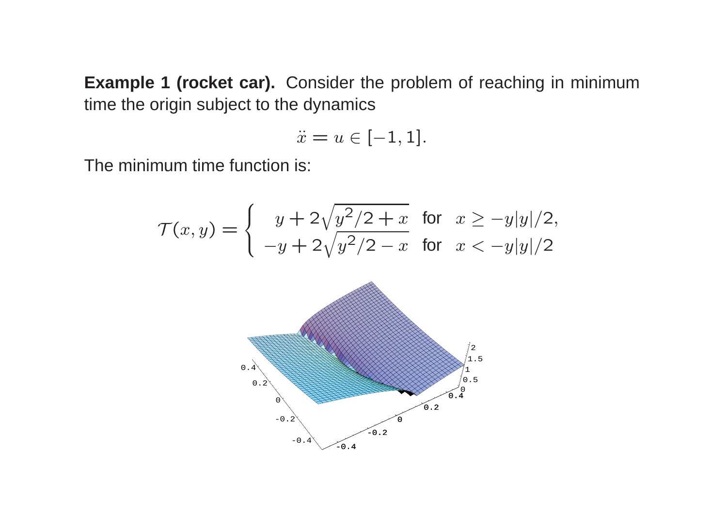**Example <sup>1</sup> (rocket car).** Consider the problem of reaching in minimumtime the origin subject to the dynamics

$$
\ddot{x}=u\in [-1,1].
$$

The minimum time function is:

$$
\mathcal{T}(x,y) = \begin{cases} y + 2\sqrt{y^2/2 + x} & \text{for } x \ge -y|y|/2, \\ -y + 2\sqrt{y^2/2 - x} & \text{for } x < -y|y|/2 \end{cases}
$$

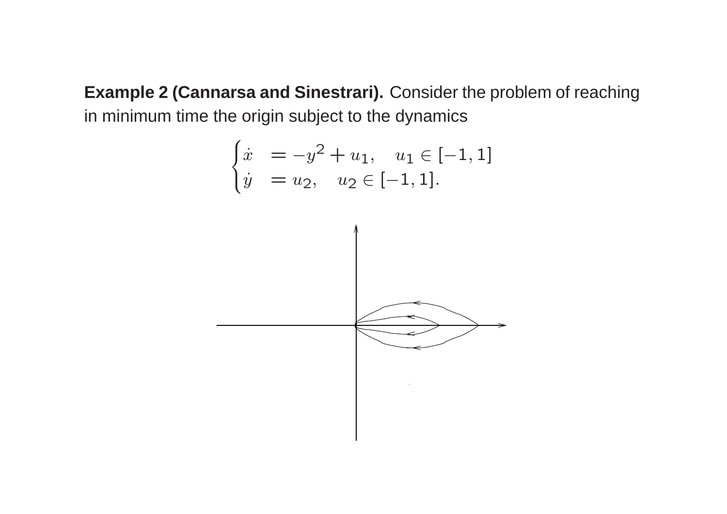**Example <sup>2</sup> (Cannarsa and Sinestrari).** Consider the problem of reachingin minimum time the origin subject to the dynamics

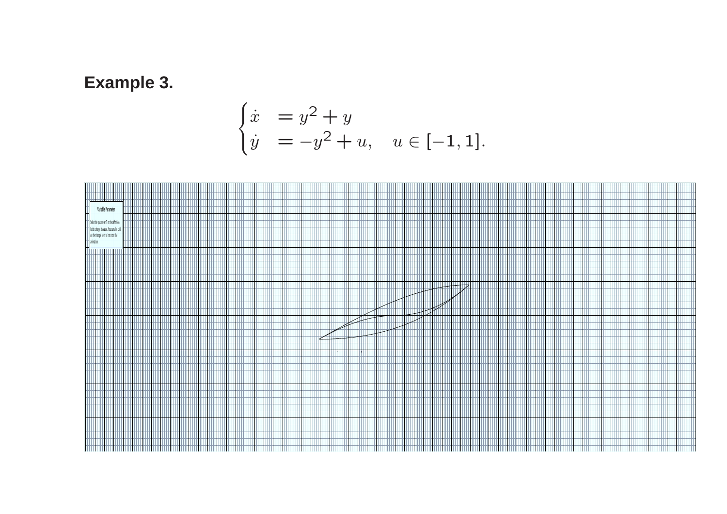### **Example 3.**

$$
\begin{cases} \n\dot{x} = y^2 + y \\
\dot{y} = -y^2 + u, \quad u \in [-1, 1].\n\end{cases}
$$

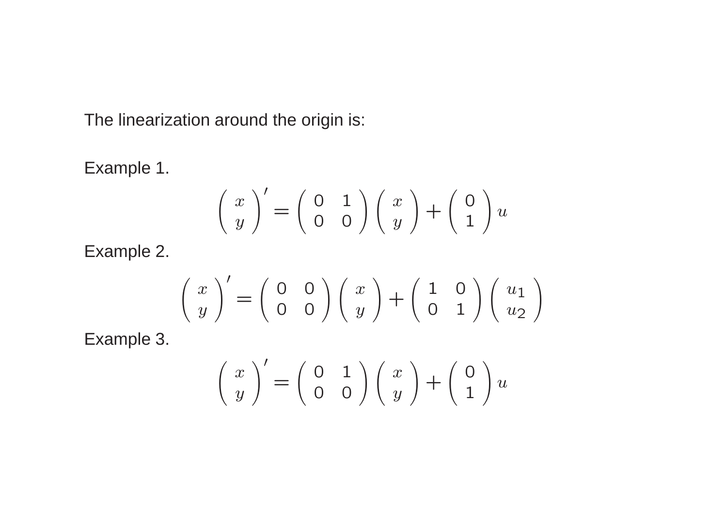The linearization around the origin is:

Example 1.

$$
\begin{pmatrix} x \\ y \end{pmatrix}' = \begin{pmatrix} 0 & 1 \\ 0 & 0 \end{pmatrix} \begin{pmatrix} x \\ y \end{pmatrix} + \begin{pmatrix} 0 \\ 1 \end{pmatrix} u
$$

Example 2.

$$
\begin{pmatrix} x \\ y \end{pmatrix}' = \begin{pmatrix} 0 & 0 \\ 0 & 0 \end{pmatrix} \begin{pmatrix} x \\ y \end{pmatrix} + \begin{pmatrix} 1 & 0 \\ 0 & 1 \end{pmatrix} \begin{pmatrix} u_1 \\ u_2 \end{pmatrix}
$$

Example 3.

$$
\begin{pmatrix} x \\ y \end{pmatrix}' = \begin{pmatrix} 0 & 1 \\ 0 & 0 \end{pmatrix} \begin{pmatrix} x \\ y \end{pmatrix} + \begin{pmatrix} 0 \\ 1 \end{pmatrix} u
$$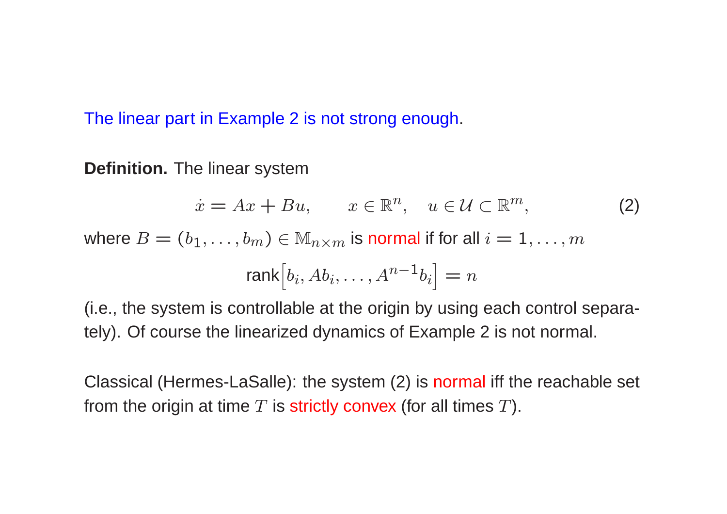The linear part in Example 2 is not strong enough.

**Definition.** The linear system

$$
\dot{x} = Ax + Bu, \qquad x \in \mathbb{R}^n, \quad u \in \mathcal{U} \subset \mathbb{R}^m,\tag{2}
$$

where  $B=(b_1,\ldots,b_m)\in \mathbb{M}_{n\times m}$  $_{m}$  is normal if for all  $i=1,\ldots,m$ 

$$
\text{rank}\big[b_i, Ab_i, \dots, A^{n-1}b_i\big] = n
$$

(i.e., the system is controllable at the origin by using each control separately). Of course the linearized dynamics of Example <sup>2</sup> is not normal.

Classical (Hermes-LaSalle): the system (2) is <mark>normal</mark> iff the reachable set from the origin at time  $T$  is strictly convex (for all times  $T$ ).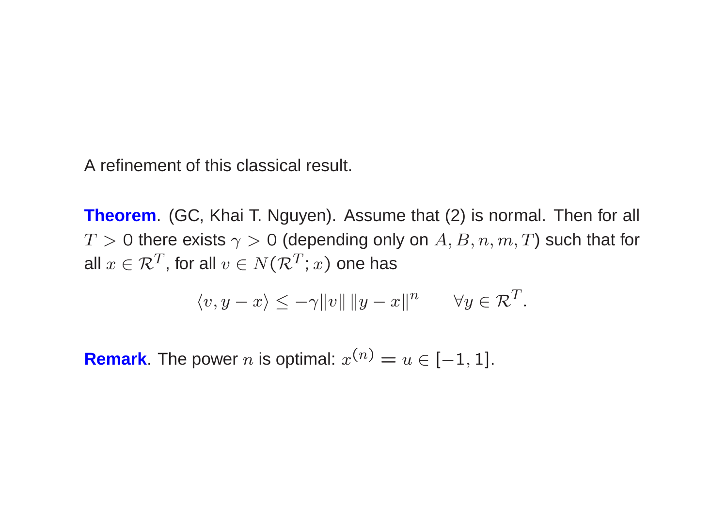A refinement of this classical result.

**Theorem**. (GC, Khai T. Nguyen). Assume that (2) is normal. Then for all  $T>0$  there exists  $\gamma>0$  (depending only on  $A,B,n,m,T)$  such that for all  $x \in \mathcal{R}^T$ , for all  $v \in N(\mathcal{R}^T;x)$  one has

$$
\langle v, y - x \rangle \le -\gamma ||v|| ||y - x||^n \quad \forall y \in \mathcal{R}^T.
$$

**Remark**. The power  $n$  is optimal:  $x^0$  $n) = u \in [-1, 1].$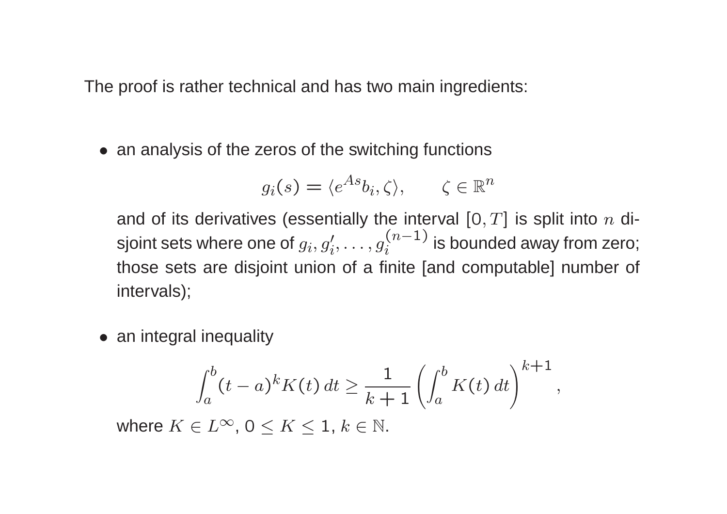The proof is rather technical and has two main ingredients:

• an analysis of the zeros of the switching functions

$$
g_i(s) = \langle e^{As}b_i, \zeta \rangle, \qquad \zeta \in \mathbb{R}^n
$$

and of its derivatives (essentially the interval  $[0,T]$  is split into  $n$  disjoint sets where one of  $g_i, g'_i, \ldots, g_i^{(n-1)}$  is bounded away fror  $\overline{\left( \right. }%$  $\, n \,$  $\binom{(n-1)}{i}$  is bounded away from zero; those sets are disjoint union of <sup>a</sup> finite [and computable] number of intervals);

• an integral inequality

$$
\int_a^b (t-a)^k K(t) dt \geq \frac{1}{k+1} \left( \int_a^b K(t) dt \right)^{k+1},
$$

where  $K\in L^\infty$ ,  $0\leq K\leq1,$   $k\in\mathbb{N}.$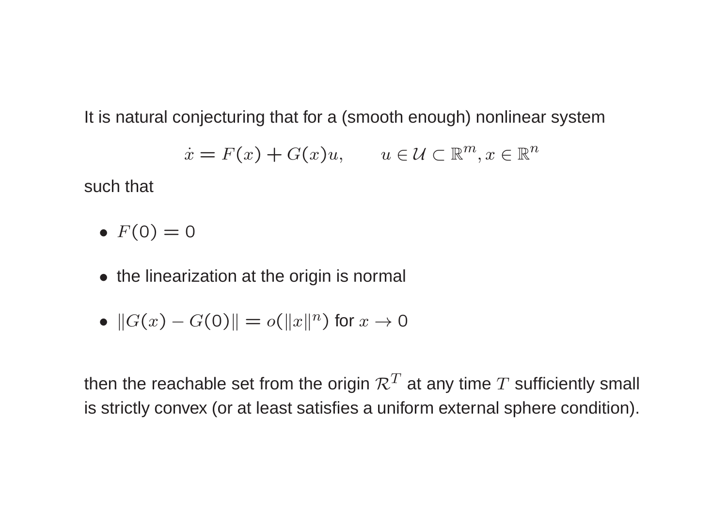It is natural conjecturing that for <sup>a</sup> (smooth enough) nonlinear system

$$
\dot{x} = F(x) + G(x)u, \qquad u \in \mathcal{U} \subset \mathbb{R}^m, x \in \mathbb{R}^n
$$

such that

- $F(0) = 0$
- the linearization at the origin is normal
- $\bullet \ \Vert G(x)$ − $G(\mathsf{0})\Vert = o(\Vert x\Vert^n)$  for  $x\to 0$

then the reachable set from the origin  $\mathcal{R}^T$  at any time  $T$  sufficiently small is strictly convex (or at least satisfies <sup>a</sup> uniform external sphere condition).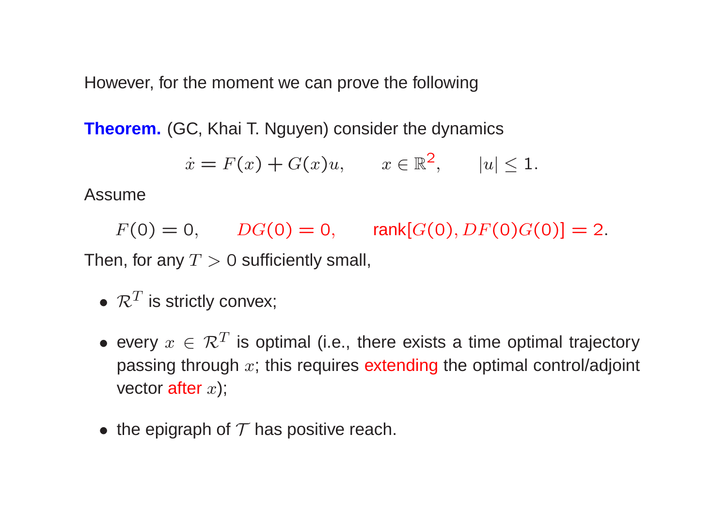However, for the moment we can prove the following

**Theorem.** (GC, Khai T. Nguyen) consider the dynamics

$$
\dot{x} = F(x) + G(x)u, \qquad x \in \mathbb{R}^2, \qquad |u| \le 1.
$$

Assume

 $F(0) = 0, \qquad DG(0) = 0, \qquad \text{rank}[G(0), DF(0)G(0)] = 2.$ Then, for any  $T>0$  sufficiently small,

- $\bullet \ \mathcal{R}^{T}$  is strictly convex;
- every  $x \in \mathcal{R}^T$  is optimal (i.e., there exists a time optimal trajectory passing through  $x;$  this requires <mark>extending</mark> the optimal control/adjoint vector  $\operatorname{\sf after} x)$ ;
- $\bullet\,$  the epigraph of  ${\cal T}$  has positive reach.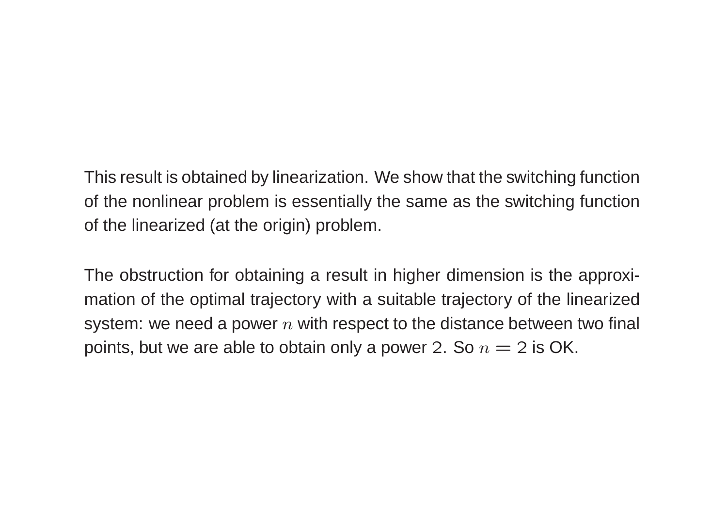This result is obtained by linearization. We show that the switching functionof the nonlinear problem is essentially the same as the switching functionof the linearized (at the origin) problem.

The obstruction for obtaining <sup>a</sup> result in higher dimension is the approximation of the optimal trajectory with <sup>a</sup> suitable trajectory of the linearizedsystem: we need a power  $n$  with respect to the distance between two final points, but we are able to obtain only a power 2. So  $n=2$  is OK.